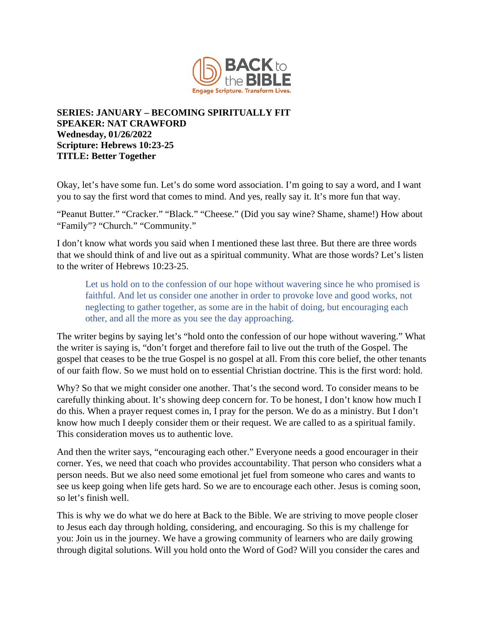

## **SERIES: JANUARY – BECOMING SPIRITUALLY FIT SPEAKER: NAT CRAWFORD Wednesday, 01/26/2022 Scripture: Hebrews 10:23-25 TITLE: Better Together**

Okay, let's have some fun. Let's do some word association. I'm going to say a word, and I want you to say the first word that comes to mind. And yes, really say it. It's more fun that way.

"Peanut Butter." "Cracker." "Black." "Cheese." (Did you say wine? Shame, shame!) How about "Family"? "Church." "Community."

I don't know what words you said when I mentioned these last three. But there are three words that we should think of and live out as a spiritual community. What are those words? Let's listen to the writer of Hebrews 10:23-25.

Let us hold on to the confession of our hope without wavering since he who promised is faithful. And let us consider one another in order to provoke love and good works, not neglecting to gather together, as some are in the habit of doing, but encouraging each other, and all the more as you see the day approaching.

The writer begins by saying let's "hold onto the confession of our hope without wavering." What the writer is saying is, "don't forget and therefore fail to live out the truth of the Gospel. The gospel that ceases to be the true Gospel is no gospel at all. From this core belief, the other tenants of our faith flow. So we must hold on to essential Christian doctrine. This is the first word: hold.

Why? So that we might consider one another. That's the second word. To consider means to be carefully thinking about. It's showing deep concern for. To be honest, I don't know how much I do this. When a prayer request comes in, I pray for the person. We do as a ministry. But I don't know how much I deeply consider them or their request. We are called to as a spiritual family. This consideration moves us to authentic love.

And then the writer says, "encouraging each other." Everyone needs a good encourager in their corner. Yes, we need that coach who provides accountability. That person who considers what a person needs. But we also need some emotional jet fuel from someone who cares and wants to see us keep going when life gets hard. So we are to encourage each other. Jesus is coming soon, so let's finish well.

This is why we do what we do here at Back to the Bible. We are striving to move people closer to Jesus each day through holding, considering, and encouraging. So this is my challenge for you: Join us in the journey. We have a growing community of learners who are daily growing through digital solutions. Will you hold onto the Word of God? Will you consider the cares and